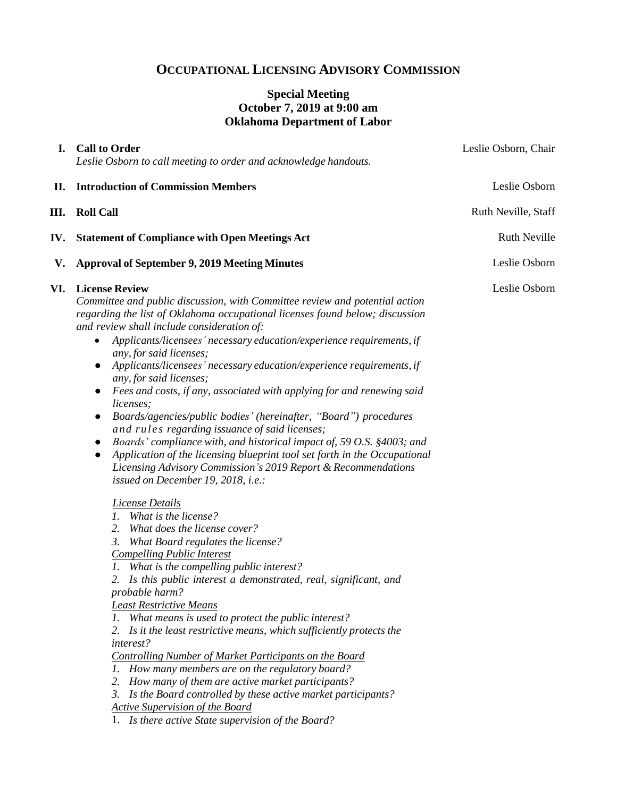# **OCCUPATIONAL LICENSING ADVISORY COMMISSION**

## **Special Meeting October 7, 2019 at 9:00 am Oklahoma Department of Labor**

| I.  | <b>Call to Order</b><br>Leslie Osborn to call meeting to order and acknowledge handouts.                                                                                                                                                                                                                                                                                                                                                                                                                                                                                                                                                                                                                                                                                                                                                                                                                                                                                                                                                                                                                                                                                                                                                                                                                                                                                                                                                                                                                                                                                                                                                                                                                                                                                      | Leslie Osborn, Chair |
|-----|-------------------------------------------------------------------------------------------------------------------------------------------------------------------------------------------------------------------------------------------------------------------------------------------------------------------------------------------------------------------------------------------------------------------------------------------------------------------------------------------------------------------------------------------------------------------------------------------------------------------------------------------------------------------------------------------------------------------------------------------------------------------------------------------------------------------------------------------------------------------------------------------------------------------------------------------------------------------------------------------------------------------------------------------------------------------------------------------------------------------------------------------------------------------------------------------------------------------------------------------------------------------------------------------------------------------------------------------------------------------------------------------------------------------------------------------------------------------------------------------------------------------------------------------------------------------------------------------------------------------------------------------------------------------------------------------------------------------------------------------------------------------------------|----------------------|
| П.  | <b>Introduction of Commission Members</b>                                                                                                                                                                                                                                                                                                                                                                                                                                                                                                                                                                                                                                                                                                                                                                                                                                                                                                                                                                                                                                                                                                                                                                                                                                                                                                                                                                                                                                                                                                                                                                                                                                                                                                                                     | Leslie Osborn        |
| Ш.  | <b>Roll Call</b>                                                                                                                                                                                                                                                                                                                                                                                                                                                                                                                                                                                                                                                                                                                                                                                                                                                                                                                                                                                                                                                                                                                                                                                                                                                                                                                                                                                                                                                                                                                                                                                                                                                                                                                                                              | Ruth Neville, Staff  |
| IV. | <b>Statement of Compliance with Open Meetings Act</b>                                                                                                                                                                                                                                                                                                                                                                                                                                                                                                                                                                                                                                                                                                                                                                                                                                                                                                                                                                                                                                                                                                                                                                                                                                                                                                                                                                                                                                                                                                                                                                                                                                                                                                                         | <b>Ruth Neville</b>  |
| V.  | <b>Approval of September 9, 2019 Meeting Minutes</b>                                                                                                                                                                                                                                                                                                                                                                                                                                                                                                                                                                                                                                                                                                                                                                                                                                                                                                                                                                                                                                                                                                                                                                                                                                                                                                                                                                                                                                                                                                                                                                                                                                                                                                                          | Leslie Osborn        |
| VI. | <b>License Review</b><br>Committee and public discussion, with Committee review and potential action<br>regarding the list of Oklahoma occupational licenses found below; discussion<br>and review shall include consideration of:<br>Applicants/licensees' necessary education/experience requirements, if<br>any, for said licenses;<br>Applicants/licensees' necessary education/experience requirements, if<br>any, for said licenses;<br>Fees and costs, if any, associated with applying for and renewing said<br>$\bullet$<br>licenses;<br>Boards/agencies/public bodies' (hereinafter, "Board") procedures<br>and rules regarding issuance of said licenses;<br>Boards' compliance with, and historical impact of, 59 O.S. §4003; and<br>Application of the licensing blueprint tool set forth in the Occupational<br>$\bullet$<br>Licensing Advisory Commission's 2019 Report & Recommendations<br>issued on December 19, 2018, i.e.:<br>License Details<br>1. What is the license?<br>What does the license cover?<br>2.<br>What Board regulates the license?<br>3.<br><b>Compelling Public Interest</b><br>1. What is the compelling public interest?<br>2. Is this public interest a demonstrated, real, significant, and<br>probable harm?<br><b>Least Restrictive Means</b><br>1. What means is used to protect the public interest?<br>Is it the least restrictive means, which sufficiently protects the<br>interest?<br>Controlling Number of Market Participants on the Board<br>1. How many members are on the regulatory board?<br>2. How many of them are active market participants?<br>3. Is the Board controlled by these active market participants?<br><b>Active Supervision of the Board</b><br>1. Is there active State supervision of the Board? | Leslie Osborn        |